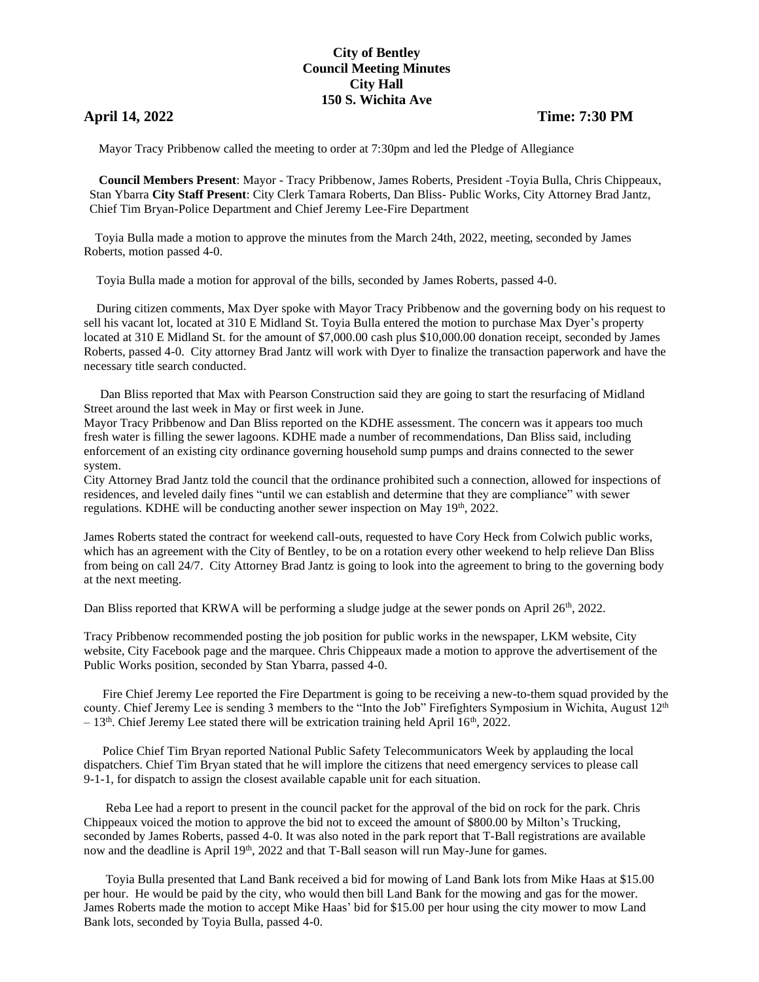## **City of Bentley Council Meeting Minutes City Hall 150 S. Wichita Ave**

## **April 14, 2022 Time: 7:30 PM**

Mayor Tracy Pribbenow called the meeting to order at 7:30pm and led the Pledge of Allegiance

 **Council Members Present**: Mayor - Tracy Pribbenow, James Roberts, President -Toyia Bulla, Chris Chippeaux, Stan Ybarra **City Staff Present**: City Clerk Tamara Roberts, Dan Bliss- Public Works, City Attorney Brad Jantz, Chief Tim Bryan-Police Department and Chief Jeremy Lee-Fire Department

 Toyia Bulla made a motion to approve the minutes from the March 24th, 2022, meeting, seconded by James Roberts, motion passed 4-0.

Toyia Bulla made a motion for approval of the bills, seconded by James Roberts, passed 4-0.

 During citizen comments, Max Dyer spoke with Mayor Tracy Pribbenow and the governing body on his request to sell his vacant lot, located at 310 E Midland St. Toyia Bulla entered the motion to purchase Max Dyer's property located at 310 E Midland St. for the amount of \$7,000.00 cash plus \$10,000.00 donation receipt, seconded by James Roberts, passed 4-0. City attorney Brad Jantz will work with Dyer to finalize the transaction paperwork and have the necessary title search conducted.

 Dan Bliss reported that Max with Pearson Construction said they are going to start the resurfacing of Midland Street around the last week in May or first week in June.

Mayor Tracy Pribbenow and Dan Bliss reported on the KDHE assessment. The concern was it appears too much fresh water is filling the sewer lagoons. KDHE made a number of recommendations, Dan Bliss said, including enforcement of an existing city ordinance governing household sump pumps and drains connected to the sewer system.

City Attorney Brad Jantz told the council that the ordinance prohibited such a connection, allowed for inspections of residences, and leveled daily fines "until we can establish and determine that they are compliance" with sewer regulations. KDHE will be conducting another sewer inspection on May  $19<sup>th</sup>$ , 2022.

James Roberts stated the contract for weekend call-outs, requested to have Cory Heck from Colwich public works, which has an agreement with the City of Bentley, to be on a rotation every other weekend to help relieve Dan Bliss from being on call 24/7. City Attorney Brad Jantz is going to look into the agreement to bring to the governing body at the next meeting.

Dan Bliss reported that KRWA will be performing a sludge judge at the sewer ponds on April 26<sup>th</sup>, 2022.

Tracy Pribbenow recommended posting the job position for public works in the newspaper, LKM website, City website, City Facebook page and the marquee. Chris Chippeaux made a motion to approve the advertisement of the Public Works position, seconded by Stan Ybarra, passed 4-0.

 Fire Chief Jeremy Lee reported the Fire Department is going to be receiving a new-to-them squad provided by the county. Chief Jeremy Lee is sending 3 members to the "Into the Job" Firefighters Symposium in Wichita, August 12<sup>th</sup>  $-13<sup>th</sup>$ . Chief Jeremy Lee stated there will be extrication training held April 16<sup>th</sup>, 2022.

 Police Chief Tim Bryan reported National Public Safety Telecommunicators Week by applauding the local dispatchers. Chief Tim Bryan stated that he will implore the citizens that need emergency services to please call 9-1-1, for dispatch to assign the closest available capable unit for each situation.

 Reba Lee had a report to present in the council packet for the approval of the bid on rock for the park. Chris Chippeaux voiced the motion to approve the bid not to exceed the amount of \$800.00 by Milton's Trucking, seconded by James Roberts, passed 4-0. It was also noted in the park report that T-Ball registrations are available now and the deadline is April 19<sup>th</sup>, 2022 and that T-Ball season will run May-June for games.

 Toyia Bulla presented that Land Bank received a bid for mowing of Land Bank lots from Mike Haas at \$15.00 per hour. He would be paid by the city, who would then bill Land Bank for the mowing and gas for the mower. James Roberts made the motion to accept Mike Haas' bid for \$15.00 per hour using the city mower to mow Land Bank lots, seconded by Toyia Bulla, passed 4-0.